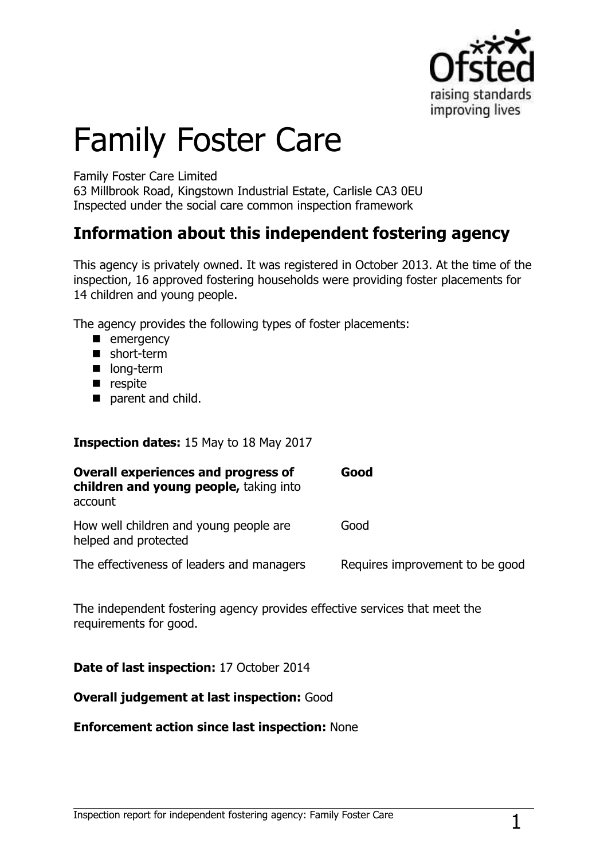

# Family Foster Care

#### Family Foster Care Limited

63 Millbrook Road, Kingstown Industrial Estate, Carlisle CA3 0EU Inspected under the social care common inspection framework

## **Information about this independent fostering agency**

This agency is privately owned. It was registered in October 2013. At the time of the inspection, 16 approved fostering households were providing foster placements for 14 children and young people.

The agency provides the following types of foster placements:

- **E** emergency
- short-term
- **long-term**
- $\blacksquare$  respite
- parent and child.

#### **Inspection dates:** 15 May to 18 May 2017

| <b>Overall experiences and progress of</b><br>children and young people, taking into<br>account | Good                            |
|-------------------------------------------------------------------------------------------------|---------------------------------|
| How well children and young people are<br>helped and protected                                  | Good                            |
| The effectiveness of leaders and managers                                                       | Requires improvement to be good |

The independent fostering agency provides effective services that meet the requirements for good.

**Date of last inspection:** 17 October 2014

#### **Overall judgement at last inspection:** Good

#### **Enforcement action since last inspection:** None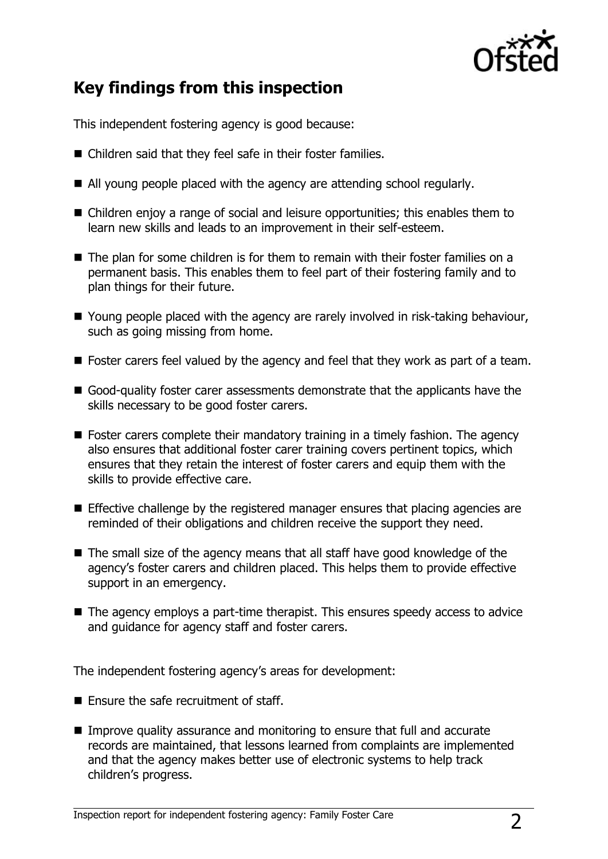

## **Key findings from this inspection**

This independent fostering agency is good because:

- Children said that they feel safe in their foster families.
- All young people placed with the agency are attending school regularly.
- Children enjoy a range of social and leisure opportunities; this enables them to learn new skills and leads to an improvement in their self-esteem.
- The plan for some children is for them to remain with their foster families on a permanent basis. This enables them to feel part of their fostering family and to plan things for their future.
- Young people placed with the agency are rarely involved in risk-taking behaviour, such as going missing from home.
- Foster carers feel valued by the agency and feel that they work as part of a team.
- Good-quality foster carer assessments demonstrate that the applicants have the skills necessary to be good foster carers.
- **Foster carers complete their mandatory training in a timely fashion. The agency** also ensures that additional foster carer training covers pertinent topics, which ensures that they retain the interest of foster carers and equip them with the skills to provide effective care.
- **Effective challenge by the registered manager ensures that placing agencies are** reminded of their obligations and children receive the support they need.
- The small size of the agency means that all staff have good knowledge of the agency's foster carers and children placed. This helps them to provide effective support in an emergency.
- The agency employs a part-time therapist. This ensures speedy access to advice and guidance for agency staff and foster carers.

The independent fostering agency's areas for development:

- **E** Fnsure the safe recruitment of staff.
- Improve quality assurance and monitoring to ensure that full and accurate records are maintained, that lessons learned from complaints are implemented and that the agency makes better use of electronic systems to help track children's progress.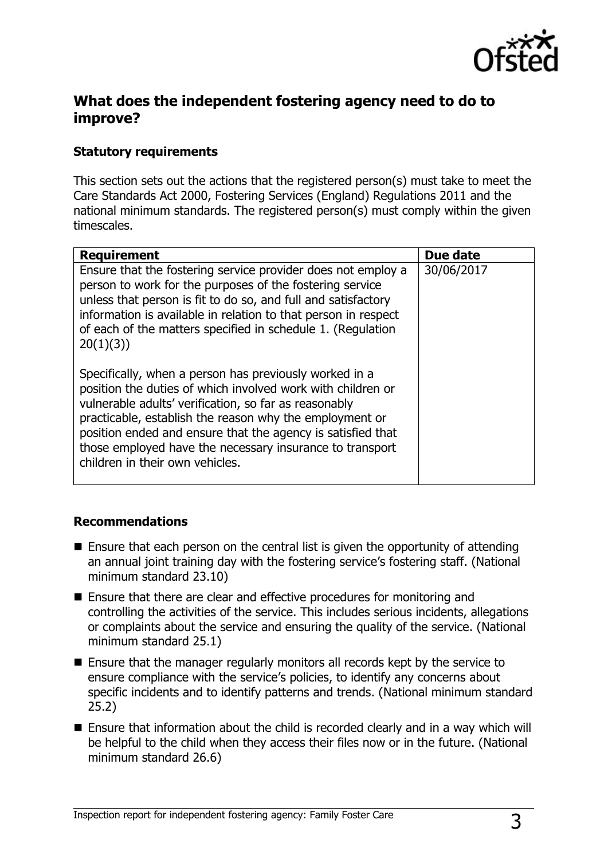

### **What does the independent fostering agency need to do to improve?**

#### **Statutory requirements**

This section sets out the actions that the registered person(s) must take to meet the Care Standards Act 2000, Fostering Services (England) Regulations 2011 and the national minimum standards. The registered person(s) must comply within the given timescales.

| <b>Requirement</b>                                                                                                                                                                                                                                                                                                                                                                                      | Due date   |
|---------------------------------------------------------------------------------------------------------------------------------------------------------------------------------------------------------------------------------------------------------------------------------------------------------------------------------------------------------------------------------------------------------|------------|
| Ensure that the fostering service provider does not employ a<br>person to work for the purposes of the fostering service<br>unless that person is fit to do so, and full and satisfactory<br>information is available in relation to that person in respect<br>of each of the matters specified in schedule 1. (Regulation<br>20(1)(3)                                                                  | 30/06/2017 |
| Specifically, when a person has previously worked in a<br>position the duties of which involved work with children or<br>vulnerable adults' verification, so far as reasonably<br>practicable, establish the reason why the employment or<br>position ended and ensure that the agency is satisfied that<br>those employed have the necessary insurance to transport<br>children in their own vehicles. |            |

#### **Recommendations**

- $\blacksquare$  Ensure that each person on the central list is given the opportunity of attending an annual joint training day with the fostering service's fostering staff. (National minimum standard 23.10)
- Ensure that there are clear and effective procedures for monitoring and controlling the activities of the service. This includes serious incidents, allegations or complaints about the service and ensuring the quality of the service. (National minimum standard 25.1)
- Ensure that the manager regularly monitors all records kept by the service to ensure compliance with the service's policies, to identify any concerns about specific incidents and to identify patterns and trends. (National minimum standard 25.2)
- Ensure that information about the child is recorded clearly and in a way which will be helpful to the child when they access their files now or in the future. (National minimum standard 26.6)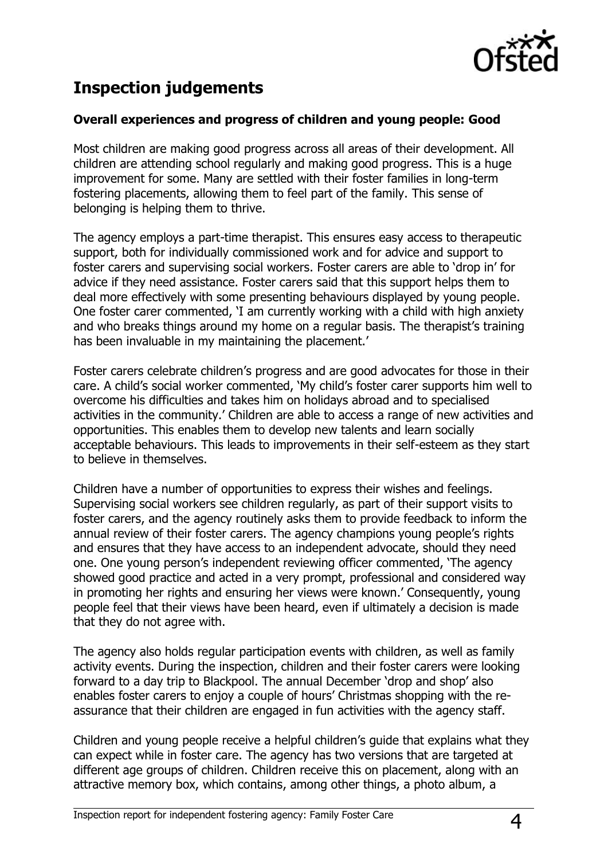

## **Inspection judgements**

#### **Overall experiences and progress of children and young people: Good**

Most children are making good progress across all areas of their development. All children are attending school regularly and making good progress. This is a huge improvement for some. Many are settled with their foster families in long-term fostering placements, allowing them to feel part of the family. This sense of belonging is helping them to thrive.

The agency employs a part-time therapist. This ensures easy access to therapeutic support, both for individually commissioned work and for advice and support to foster carers and supervising social workers. Foster carers are able to 'drop in' for advice if they need assistance. Foster carers said that this support helps them to deal more effectively with some presenting behaviours displayed by young people. One foster carer commented, 'I am currently working with a child with high anxiety and who breaks things around my home on a regular basis. The therapist's training has been invaluable in my maintaining the placement.'

Foster carers celebrate children's progress and are good advocates for those in their care. A child's social worker commented, 'My child's foster carer supports him well to overcome his difficulties and takes him on holidays abroad and to specialised activities in the community.' Children are able to access a range of new activities and opportunities. This enables them to develop new talents and learn socially acceptable behaviours. This leads to improvements in their self-esteem as they start to believe in themselves.

Children have a number of opportunities to express their wishes and feelings. Supervising social workers see children regularly, as part of their support visits to foster carers, and the agency routinely asks them to provide feedback to inform the annual review of their foster carers. The agency champions young people's rights and ensures that they have access to an independent advocate, should they need one. One young person's independent reviewing officer commented, 'The agency showed good practice and acted in a very prompt, professional and considered way in promoting her rights and ensuring her views were known.' Consequently, young people feel that their views have been heard, even if ultimately a decision is made that they do not agree with.

The agency also holds regular participation events with children, as well as family activity events. During the inspection, children and their foster carers were looking forward to a day trip to Blackpool. The annual December 'drop and shop' also enables foster carers to enjoy a couple of hours' Christmas shopping with the reassurance that their children are engaged in fun activities with the agency staff.

Children and young people receive a helpful children's guide that explains what they can expect while in foster care. The agency has two versions that are targeted at different age groups of children. Children receive this on placement, along with an attractive memory box, which contains, among other things, a photo album, a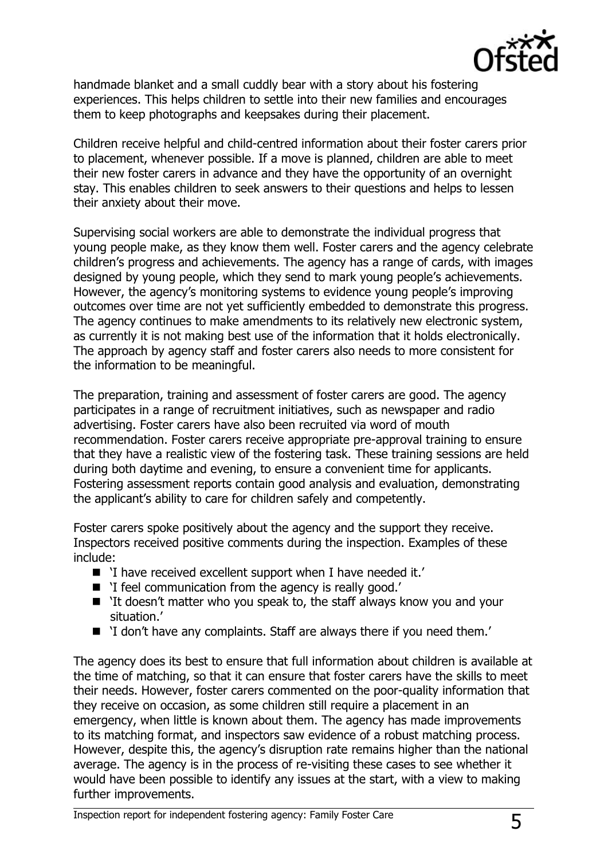

handmade blanket and a small cuddly bear with a story about his fostering experiences. This helps children to settle into their new families and encourages them to keep photographs and keepsakes during their placement.

Children receive helpful and child-centred information about their foster carers prior to placement, whenever possible. If a move is planned, children are able to meet their new foster carers in advance and they have the opportunity of an overnight stay. This enables children to seek answers to their questions and helps to lessen their anxiety about their move.

Supervising social workers are able to demonstrate the individual progress that young people make, as they know them well. Foster carers and the agency celebrate children's progress and achievements. The agency has a range of cards, with images designed by young people, which they send to mark young people's achievements. However, the agency's monitoring systems to evidence young people's improving outcomes over time are not yet sufficiently embedded to demonstrate this progress. The agency continues to make amendments to its relatively new electronic system, as currently it is not making best use of the information that it holds electronically. The approach by agency staff and foster carers also needs to more consistent for the information to be meaningful.

The preparation, training and assessment of foster carers are good. The agency participates in a range of recruitment initiatives, such as newspaper and radio advertising. Foster carers have also been recruited via word of mouth recommendation. Foster carers receive appropriate pre-approval training to ensure that they have a realistic view of the fostering task. These training sessions are held during both daytime and evening, to ensure a convenient time for applicants. Fostering assessment reports contain good analysis and evaluation, demonstrating the applicant's ability to care for children safely and competently.

Foster carers spoke positively about the agency and the support they receive. Inspectors received positive comments during the inspection. Examples of these include:

- 'I have received excellent support when I have needed it.'
- 'I feel communication from the agency is really good.'
- 'It doesn't matter who you speak to, the staff always know you and your situation.'
- 'I don't have any complaints. Staff are always there if you need them.'

The agency does its best to ensure that full information about children is available at the time of matching, so that it can ensure that foster carers have the skills to meet their needs. However, foster carers commented on the poor-quality information that they receive on occasion, as some children still require a placement in an emergency, when little is known about them. The agency has made improvements to its matching format, and inspectors saw evidence of a robust matching process. However, despite this, the agency's disruption rate remains higher than the national average. The agency is in the process of re-visiting these cases to see whether it would have been possible to identify any issues at the start, with a view to making further improvements.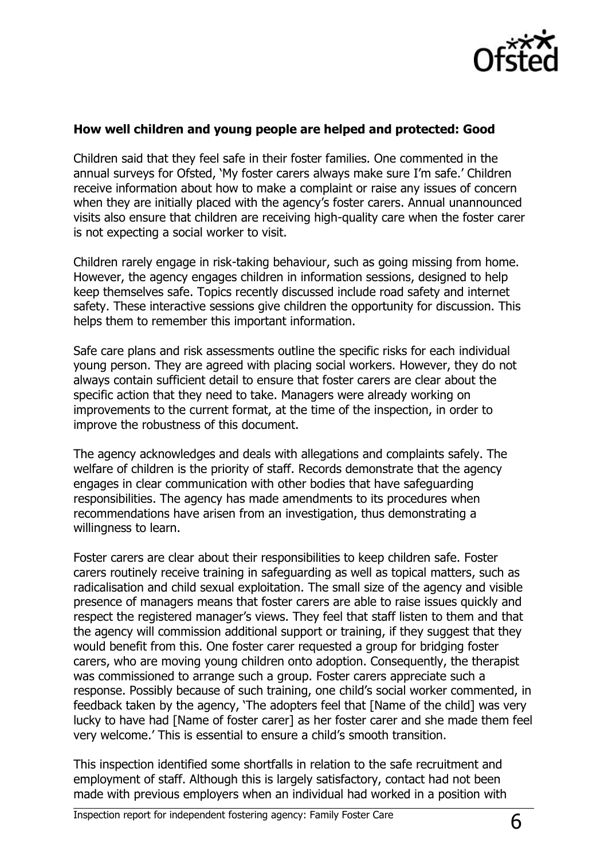

#### **How well children and young people are helped and protected: Good**

Children said that they feel safe in their foster families. One commented in the annual surveys for Ofsted, 'My foster carers always make sure I'm safe.' Children receive information about how to make a complaint or raise any issues of concern when they are initially placed with the agency's foster carers. Annual unannounced visits also ensure that children are receiving high-quality care when the foster carer is not expecting a social worker to visit.

Children rarely engage in risk-taking behaviour, such as going missing from home. However, the agency engages children in information sessions, designed to help keep themselves safe. Topics recently discussed include road safety and internet safety. These interactive sessions give children the opportunity for discussion. This helps them to remember this important information.

Safe care plans and risk assessments outline the specific risks for each individual young person. They are agreed with placing social workers. However, they do not always contain sufficient detail to ensure that foster carers are clear about the specific action that they need to take. Managers were already working on improvements to the current format, at the time of the inspection, in order to improve the robustness of this document.

The agency acknowledges and deals with allegations and complaints safely. The welfare of children is the priority of staff. Records demonstrate that the agency engages in clear communication with other bodies that have safeguarding responsibilities. The agency has made amendments to its procedures when recommendations have arisen from an investigation, thus demonstrating a willingness to learn.

Foster carers are clear about their responsibilities to keep children safe. Foster carers routinely receive training in safeguarding as well as topical matters, such as radicalisation and child sexual exploitation. The small size of the agency and visible presence of managers means that foster carers are able to raise issues quickly and respect the registered manager's views. They feel that staff listen to them and that the agency will commission additional support or training, if they suggest that they would benefit from this. One foster carer requested a group for bridging foster carers, who are moving young children onto adoption. Consequently, the therapist was commissioned to arrange such a group. Foster carers appreciate such a response. Possibly because of such training, one child's social worker commented, in feedback taken by the agency, 'The adopters feel that [Name of the child] was very lucky to have had [Name of foster carer] as her foster carer and she made them feel very welcome.' This is essential to ensure a child's smooth transition.

This inspection identified some shortfalls in relation to the safe recruitment and employment of staff. Although this is largely satisfactory, contact had not been made with previous employers when an individual had worked in a position with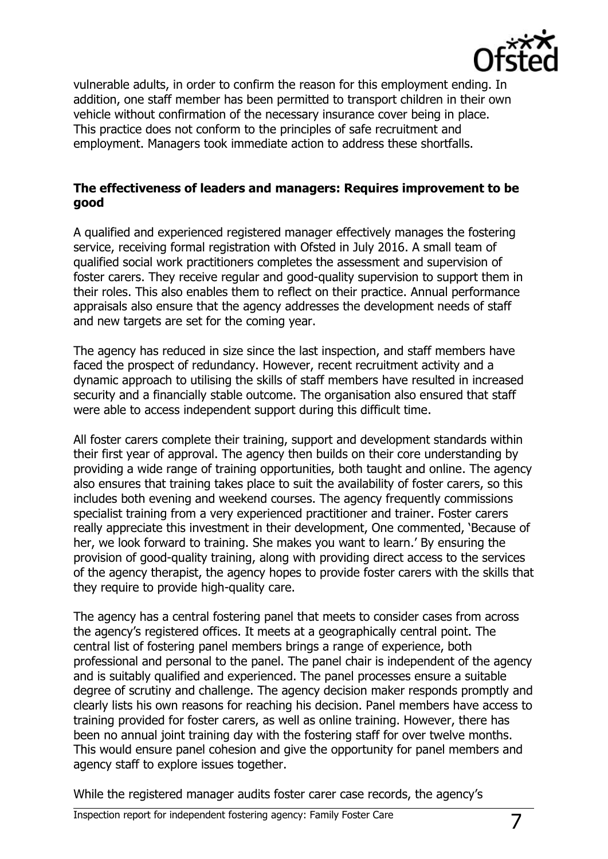

vulnerable adults, in order to confirm the reason for this employment ending. In addition, one staff member has been permitted to transport children in their own vehicle without confirmation of the necessary insurance cover being in place. This practice does not conform to the principles of safe recruitment and employment. Managers took immediate action to address these shortfalls.

#### **The effectiveness of leaders and managers: Requires improvement to be good**

A qualified and experienced registered manager effectively manages the fostering service, receiving formal registration with Ofsted in July 2016. A small team of qualified social work practitioners completes the assessment and supervision of foster carers. They receive regular and good-quality supervision to support them in their roles. This also enables them to reflect on their practice. Annual performance appraisals also ensure that the agency addresses the development needs of staff and new targets are set for the coming year.

The agency has reduced in size since the last inspection, and staff members have faced the prospect of redundancy. However, recent recruitment activity and a dynamic approach to utilising the skills of staff members have resulted in increased security and a financially stable outcome. The organisation also ensured that staff were able to access independent support during this difficult time.

All foster carers complete their training, support and development standards within their first year of approval. The agency then builds on their core understanding by providing a wide range of training opportunities, both taught and online. The agency also ensures that training takes place to suit the availability of foster carers, so this includes both evening and weekend courses. The agency frequently commissions specialist training from a very experienced practitioner and trainer. Foster carers really appreciate this investment in their development, One commented, 'Because of her, we look forward to training. She makes you want to learn.' By ensuring the provision of good-quality training, along with providing direct access to the services of the agency therapist, the agency hopes to provide foster carers with the skills that they require to provide high-quality care.

The agency has a central fostering panel that meets to consider cases from across the agency's registered offices. It meets at a geographically central point. The central list of fostering panel members brings a range of experience, both professional and personal to the panel. The panel chair is independent of the agency and is suitably qualified and experienced. The panel processes ensure a suitable degree of scrutiny and challenge. The agency decision maker responds promptly and clearly lists his own reasons for reaching his decision. Panel members have access to training provided for foster carers, as well as online training. However, there has been no annual joint training day with the fostering staff for over twelve months. This would ensure panel cohesion and give the opportunity for panel members and agency staff to explore issues together.

While the registered manager audits foster carer case records, the agency's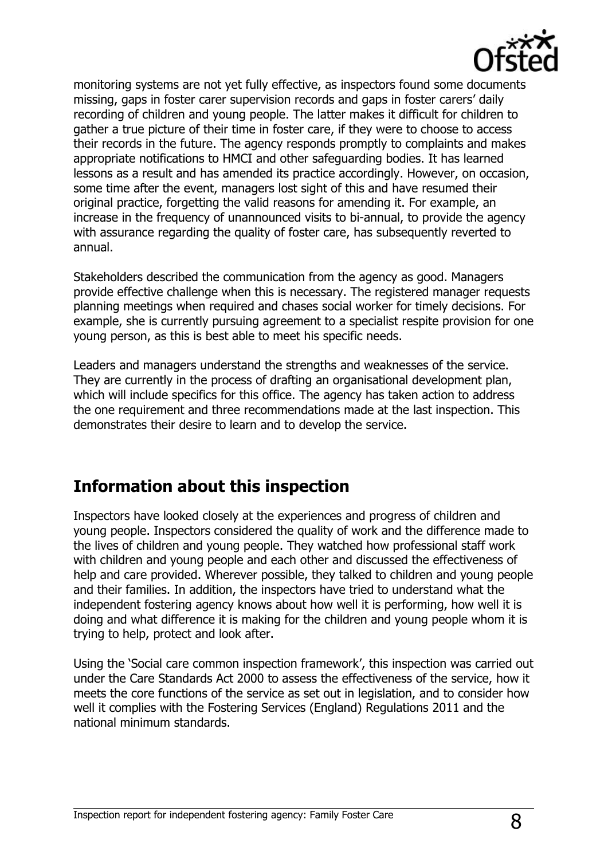

monitoring systems are not yet fully effective, as inspectors found some documents missing, gaps in foster carer supervision records and gaps in foster carers' daily recording of children and young people. The latter makes it difficult for children to gather a true picture of their time in foster care, if they were to choose to access their records in the future. The agency responds promptly to complaints and makes appropriate notifications to HMCI and other safeguarding bodies. It has learned lessons as a result and has amended its practice accordingly. However, on occasion, some time after the event, managers lost sight of this and have resumed their original practice, forgetting the valid reasons for amending it. For example, an increase in the frequency of unannounced visits to bi-annual, to provide the agency with assurance regarding the quality of foster care, has subsequently reverted to annual.

Stakeholders described the communication from the agency as good. Managers provide effective challenge when this is necessary. The registered manager requests planning meetings when required and chases social worker for timely decisions. For example, she is currently pursuing agreement to a specialist respite provision for one young person, as this is best able to meet his specific needs.

Leaders and managers understand the strengths and weaknesses of the service. They are currently in the process of drafting an organisational development plan, which will include specifics for this office. The agency has taken action to address the one requirement and three recommendations made at the last inspection. This demonstrates their desire to learn and to develop the service.

## **Information about this inspection**

Inspectors have looked closely at the experiences and progress of children and young people. Inspectors considered the quality of work and the difference made to the lives of children and young people. They watched how professional staff work with children and young people and each other and discussed the effectiveness of help and care provided. Wherever possible, they talked to children and young people and their families. In addition, the inspectors have tried to understand what the independent fostering agency knows about how well it is performing, how well it is doing and what difference it is making for the children and young people whom it is trying to help, protect and look after.

Using the 'Social care common inspection framework', this inspection was carried out under the Care Standards Act 2000 to assess the effectiveness of the service, how it meets the core functions of the service as set out in legislation, and to consider how well it complies with the Fostering Services (England) Regulations 2011 and the national minimum standards.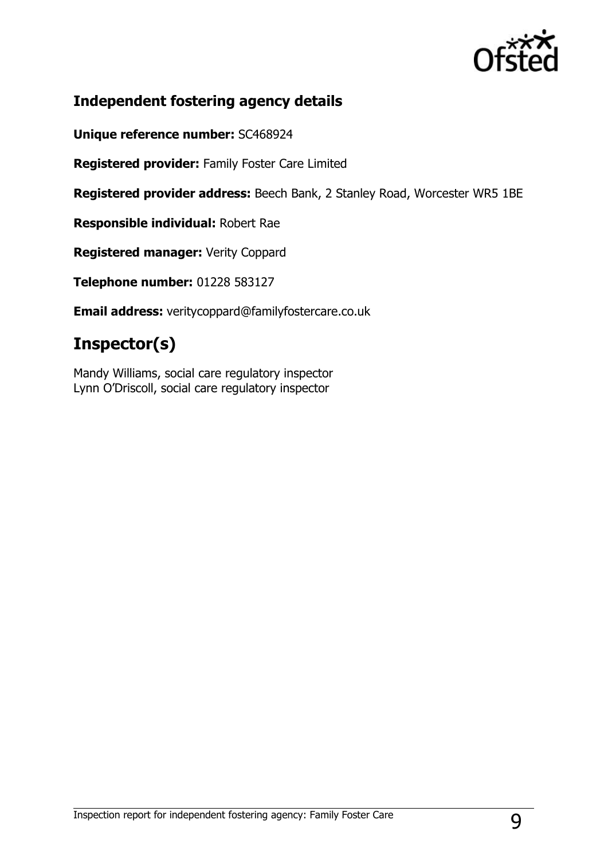

## **Independent fostering agency details**

**Unique reference number:** SC468924

**Registered provider:** Family Foster Care Limited

**Registered provider address:** Beech Bank, 2 Stanley Road, Worcester WR5 1BE

**Responsible individual:** Robert Rae

**Registered manager:** Verity Coppard

**Telephone number:** 01228 583127

**Email address:** veritycoppard@familyfostercare.co.uk

# **Inspector(s)**

Mandy Williams, social care regulatory inspector Lynn O'Driscoll, social care regulatory inspector